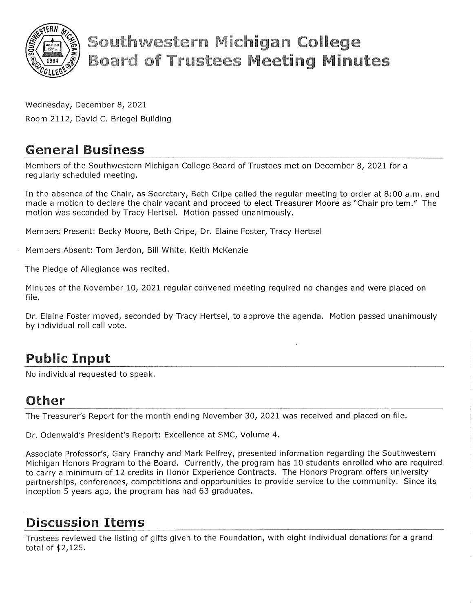

# **Southwestern Michigan College Board of Trustees Meeting Minutes**

Wednesday, December 8, 2021 Room 2112, David C. Briegel Building

## General Business

Members of the Southwestern Michigan College Board of Trustees met on December 8, 2021 for a regularly scheduled meeting.

In the absence of the Chair, as Secretary, Beth Cripe called the regular meeting to order at 8:00 a.m. and made a motion to declare the chair vacant and proceed to elect Treasurer Moore as "Chair pro tem." The motion was seconded by Tracy Hertsel. Motion passed unanimously.

Members Present: Becky Moore, Beth Cripe, Dr. Elaine Foster, Tracy Hertsel

Members Absent: Tom Jerdon, Bill White, Keith McKenzie

The Pledge of Allegiance was recited.

Minutes of the November 10, 2021 regular convened meeting required no changes and were placed on file.

Dr. Elaine Foster moved, seconded by Tracy Hertsel, to approve the agenda. Motion passed unanimously by individual roll call vote.

## Public Input

No individual requested to speak.

#### Other

The Treasurer's Report for the month ending November 30, 2021 was received and placed on file.

Dr. Odenwald's President's Report: Excellence at SMC, Volume 4.

Associate Professor's, Gary Franchy and Mark Pelfrey, presented information regarding the Southwestern Michigan Honors Program to the Board. Currently, the program has 10 students enrolled who are required to carry a minimum of 12 credits in Honor Experience Contracts. The Honors Program offers university partnerships, conferences, competitions and opportunities to provide service to the community. Since its inception 5 years ago, the program has had 63 graduates.

## Discussion Items

Trustees reviewed the listing of gifts given to the Foundation, with eight individual donations for a grand total of \$2,125.